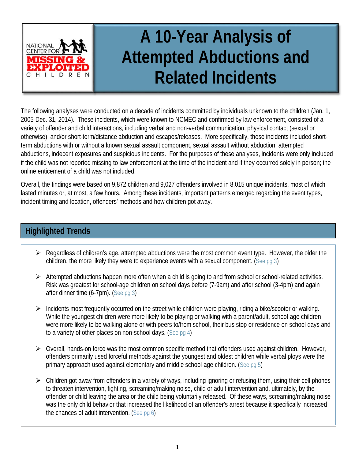

# **A 10-Year Analysis of Attempted Abductions and Related Incidents**

The following analyses were conducted on a decade of incidents committed by individuals unknown to the children (Jan. 1, 2005-Dec. 31, 2014). These incidents, which were known to NCMEC and confirmed by law enforcement, consisted of a variety of offender and child interactions, including verbal and non-verbal communication, physical contact (sexual or otherwise), and/or short-term/distance abduction and escapes/releases. More specifically, these incidents included shortterm abductions with or without a known sexual assault component, sexual assault without abduction, attempted abductions, indecent exposures and suspicious incidents. For the purposes of these analyses, incidents were only included if the child was not reported missing to law enforcement at the time of the incident and if they occurred solely in person; the online enticement of a child was not included.

Overall, the findings were based on 9,872 children and 9,027 offenders involved in 8,015 unique incidents, most of which lasted minutes or, at most, a few hours. Among these incidents, important patterns emerged regarding the event types, incident timing and location, offenders' methods and how children got away.

# **Highlighted Trends**

- $\triangleright$  Regardless of children's age, attempted abductions were the most common event type. However, the older the children, the more likely they were to experience events with a sexual component. [\(See pg 3\)](#page-2-0)
- $\triangleright$  Attempted abductions happen more often when a child is going to and from school or school-related activities. Risk was greatest for school-age children on school days before (7-9am) and after school (3-4pm) and again after dinner time (6-7pm). [\(See pg 3\)](#page-2-1)
- $\triangleright$  Incidents most frequently occurred on the street while children were playing, riding a bike/scooter or walking. While the youngest children were more likely to be playing or walking with a parent/adult, school-age children were more likely to be walking alone or with peers to/from school, their bus stop or residence on school days and to a variety of other places on non-school days. (See [pg 4\)](#page-2-2)
- $\triangleright$  Overall, hands-on force was the most common specific method that offenders used against children. However, offenders primarily used forceful methods against the youngest and oldest children while verbal ploys were the primary approach used against elementary and middle school-age children. [\(See pg 5\)](#page-4-0)
- $\triangleright$  Children got away from offenders in a variety of ways, including ignoring or refusing them, using their cell phones to threaten intervention, fighting, screaming/making noise, child or adult intervention and, ultimately, by the offender or child leaving the area or the child being voluntarily released. Of these ways, screaming/making noise was the only child behavior that increased the likelihood of an offender's arrest because it specifically increased the chances of adult intervention. [\(See pg 6\)](#page-5-0)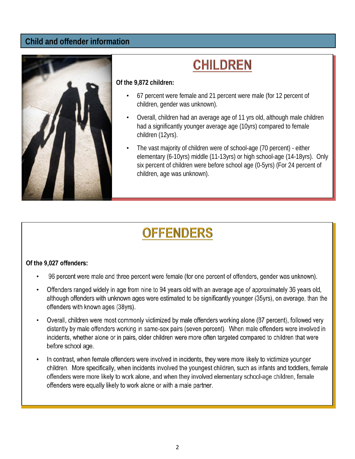#### **Child and offender information**



# **CHILDREN**

#### **Of the 9,872 children:**

- 67 percent were female and 21 percent were male (for 12 percent of children, gender was unknown).
- Overall, children had an average age of 11 yrs old, although male children had a significantly younger average age (10yrs) compared to female children (12yrs).
- The vast majority of children were of school-age (70 percent) either elementary (6-10yrs) middle (11-13yrs) or high school-age (14-18yrs). Only six percent of children were before school age (0-5yrs) (For 24 percent of children, age was unknown).

# **OFFENDERS**

#### Of the 9,027 offenders:

- 96 percent were male and three percent were female (for one percent of offenders, gender was unknown).
- Offenders ranged widely in age from nine to 94 years old with an average age of approximately 36 years old, although offenders with unknown ages were estimated to be significantly younger (35yrs), on average, than the offenders with known ages (38yrs).
- Overall, children were most commonly victimized by male offenders working alone (87 percent), followed very distantly by male offenders working in same-sex pairs (seven percent). When male offenders were involved in incidents, whether alone or in pairs, older children were more often targeted compared to children that were before school age.
- In contrast, when female offenders were involved in incidents, they were more likely to victimize younger children. More specifically, when incidents involved the youngest children, such as infants and toddlers, female offenders were more likely to work alone, and when they involved elementary school-age children, female offenders were equally likely to work alone or with a male partner.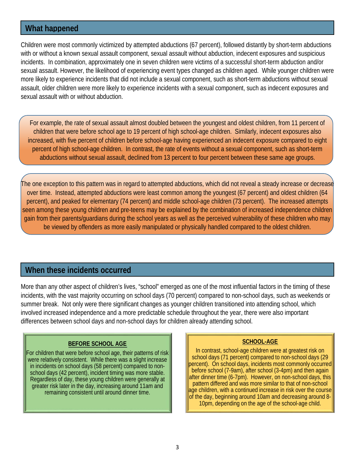## <span id="page-2-0"></span>**What happened**

Children were most commonly victimized by attempted abductions (67 percent), followed distantly by short-term abductions with or without a known sexual assault component, sexual assault without abduction, indecent exposures and suspicious incidents. In combination, approximately one in seven children were victims of a successful short-term abduction and/or sexual assault. However, the likelihood of experiencing event types changed as children aged. While younger children were more likely to experience incidents that did not include a sexual component, such as short-term abductions without sexual assault, older children were more likely to experience incidents with a sexual component, such as indecent exposures and sexual assault with or without abduction.

For example, the rate of sexual assault almost doubled between the youngest and oldest children, from 11 percent of children that were before school age to 19 percent of high school-age children. Similarly, indecent exposures also increased, with five percent of children before school-age having experienced an indecent exposure compared to eight percent of high school-age children. In contrast, the rate of events without a sexual component, such as short-term abductions without sexual assault, declined from 13 percent to four percent between these same age groups.

The one exception to this pattern was in regard to attempted abductions, which did not reveal a steady increase or decrease over time. Instead, attempted abductions were least common among the youngest (67 percent) and oldest children (64 percent), and peaked for elementary (74 percent) and middle school-age children (73 percent). The increased attempts seen among these young children and pre-teens may be explained by the combination of increased independence children gain from their parents/guardians during the school years as well as the perceived vulnerability of these children who may be viewed by offenders as more easily manipulated or physically handled compared to the oldest children.

#### <span id="page-2-1"></span>**When these incidents occurred**

More than any other aspect of children's lives, "school" emerged as one of the most influential factors in the timing of these incidents, with the vast majority occurring on school days (70 percent) compared to non-school days, such as weekends or summer break. Not only were there significant changes as younger children transitioned into attending school, which involved increased independence and a more predictable schedule throughout the year, there were also important differences between school days and non-school days for children already attending school.

#### **BEFORE SCHOOL AGE**

<span id="page-2-2"></span>For children that were before school age, their patterns of risk were relatively consistent. While there was a slight increase in incidents on school days (58 percent) compared to nonschool days (42 percent), incident timing was more stable. Regardless of day, these young children were generally at greater risk later in the day, increasing around 11am and remaining consistent until around dinner time.

#### **SCHOOL-AGE**

In contrast, school-age children were at greatest risk on school days (71 percent) compared to non-school days (29 percent). On school days, incidents most commonly occurred before school (7-9am), after school (3-4pm) and then again after dinner time (6-7pm). However, on non-school days, this pattern differed and was more similar to that of non-school age children, with a continued increase in risk over the course of the day, beginning around 10am and decreasing around 8- 10pm, depending on the age of the school-age child.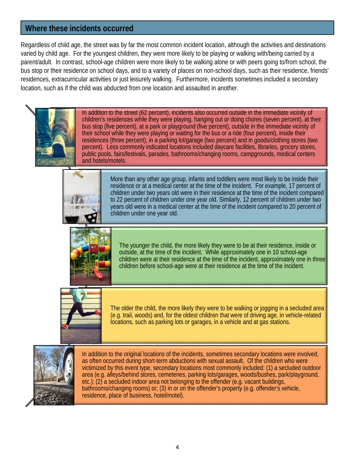## **Where these incidents occurred**

Regardless of child age, the street was by far the most common incident location, although the activities and destinations varied by child age. For the youngest children, they were more likely to be playing or walking with/being carried by a parent/adult. In contrast, school-age children were more likely to be walking alone or with peers going to/from school, the bus stop or their residence on school days, and to a variety of places on non-school days, such as their residence, friends' residences, extracurricular activities or just leisurely walking. Furthermore, incidents sometimes included a secondary location, such as if the child was abducted from one location and assaulted in another.



In addition to the street (62 percent), incidents also occurred outside in the immediate vicinity of children's residences while they were playing, hanging out or doing chores (seven percent), at their bus stop (five percent), at a park or playground (five percent), outside in the immediate vicinity of their school while they were playing or waiting for the bus or a ride (four percent), inside their residences (three percent), in a parking lot/garage (two percent) and in goods/clothing stores (two percent). Less commonly indicated locations included daycare facilities, libraries, grocery stores, public pools, fairs/festivals, parades, bathrooms/changing rooms, campgrounds, medical centers and hotels/motels.



More than any other age group, infants and toddlers were most likely to be inside their residence or at a medical center at the time of the incident. For example, 17 percent of children under two years old were in their residence at the time of the incident compared to 22 percent of children under one year old. Similarly, 12 percent of children under two years old were in a medical center at the time of the incident compared to 20 percent of children under one year old.



The younger the child, the more likely they were to be at their residence, inside or outside, at the time of the incident. While approximately one in 10 school-age children were at their residence at the time of the incident, approximately one in three children before school-age were at their residence at the time of the incident.



The older the child, the more likely they were to be walking or jogging in a secluded area (e.g. trail, woods) and, for the oldest children that were of driving age, in vehicle-related locations, such as parking lots or garages, in a vehicle and at gas stations.



In addition to the original locations of the incidents, sometimes secondary locations were involved, as often occurred during short-term abductions with sexual assault. Of the children who were victimized by this event type, secondary locations most commonly included: (1) a secluded outdoor area (e.g. alleys/behind stores, cemeteries, parking lots/garages, woods/bushes, park/playground, etc.); (2) a secluded indoor area not belonging to the offender (e.g. vacant buildings, bathrooms/changing rooms) or; (3) in or on the offender's property (e.g. offender's vehicle, residence, place of business, hotel/motel).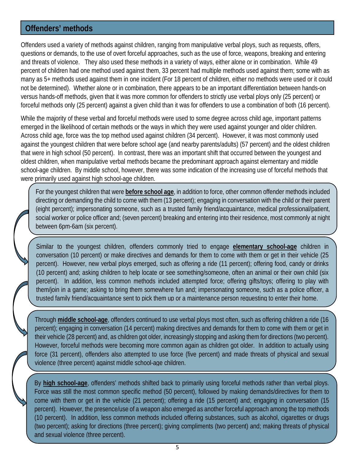### <span id="page-4-0"></span>**Offenders' methods**

Offenders used a variety of methods against children, ranging from manipulative verbal ploys, such as requests, offers, questions or demands, to the use of overt forceful approaches, such as the use of force, weapons, breaking and entering and threats of violence. They also used these methods in a variety of ways, either alone or in combination. While 49 percent of children had one method used against them, 33 percent had multiple methods used against them; some with as many as 5+ methods used against them in one incident (For 18 percent of children, either no methods were used or it could not be determined). Whether alone or in combination, there appears to be an important differentiation between hands-on versus hands-off methods, given that it was more common for offenders to strictly use verbal ploys only (25 percent) or forceful methods only (25 percent) against a given child than it was for offenders to use a combination of both (16 percent).

While the majority of these verbal and forceful methods were used to some degree across child age, important patterns emerged in the likelihood of certain methods or the ways in which they were used against younger and older children. Across child age, force was the top method used against children (34 percent). However, it was most commonly used against the youngest children that were before school age (and nearby parents/adults) (57 percent) and the oldest children that were in high school (50 percent). In contrast, there was an important shift that occurred between the youngest and oldest children, when manipulative verbal methods became the predominant approach against elementary and middle school-age children. By middle school, however, there was some indication of the increasing use of forceful methods that were primarily used against high school-age children.

For the youngest children that were **before school age**, in addition to force, other common offender methods included directing or demanding the child to come with them (13 percent); engaging in conversation with the child or their parent (eight percent); impersonating someone, such as a trusted family friend/acquaintance, medical professional/patient, social worker or police officer and; (seven percent) breaking and entering into their residence, most commonly at night between 6pm-6am (six percent).

Similar to the youngest children, offenders commonly tried to engage **elementary school-age** children in conversation (10 percent) or make directives and demands for them to come with them or get in their vehicle (25 percent). However, new verbal ploys emerged, such as offering a ride (11 percent); offering food, candy or drinks (10 percent) and; asking children to help locate or see something/someone, often an animal or their own child (six percent). In addition, less common methods included attempted force; offering gifts/toys; offering to play with them/join in a game; asking to bring them somewhere fun and; impersonating someone, such as a police officer, a trusted family friend/acquaintance sent to pick them up or a maintenance person requesting to enter their home.

Through **middle school-age**, offenders continued to use verbal ploys most often, such as offering children a ride (16 percent); engaging in conversation (14 percent) making directives and demands for them to come with them or get in their vehicle (28 percent) and, as children got older, increasingly stopping and asking them for directions (two percent). However, forceful methods were becoming more common again as children got older. In addition to actually using force (31 percent), offenders also attempted to use force (five percent) and made threats of physical and sexual violence (three percent) against middle school-age children.

By **high school-age**, offenders' methods shifted back to primarily using forceful methods rather than verbal ploys. Force was still the most common specific method (50 percent), followed by making demands/directives for them to come with them or get in the vehicle (21 percent); offering a ride (15 percent) and; engaging in conversation (15 percent). However, the presence/use of a weapon also emerged as another forceful approach among the top methods (10 percent). In addition, less common methods included offering substances, such as alcohol, cigarettes or drugs (two percent); asking for directions (three percent); giving compliments (two percent) and; making threats of physical and sexual violence (three percent).